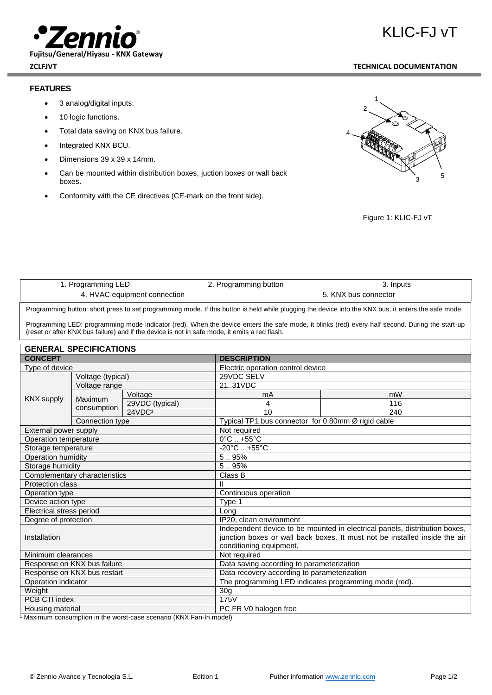

**Fujitsu/General/Hiyasu - KNX Gateway**

## **FEATURES**

- 3 analog/digital inputs.
- 10 logic functions.
- Total data saving on KNX bus failure.
- Integrated KNX BCU.
- Dimensions 39 x 39 x 14mm.
- Can be mounted within distribution boxes, juction boxes or wall back boxes.
- Conformity with the CE directives (CE-mark on the front side).



Figure 1: KLIC-FJ vT

|                                                                                                                                                                                                                                                  | 1. Programming LED     |                    | 2. Programming button             | 3. Inputs            |  |  |  |
|--------------------------------------------------------------------------------------------------------------------------------------------------------------------------------------------------------------------------------------------------|------------------------|--------------------|-----------------------------------|----------------------|--|--|--|
| 4. HVAC equipment connection                                                                                                                                                                                                                     |                        |                    |                                   | 5. KNX bus connector |  |  |  |
| Programming button: short press to set programming mode. If this button is held while plugging the device into the KNX bus, it enters the safe mode.                                                                                             |                        |                    |                                   |                      |  |  |  |
| Programming LED: programming mode indicator (red). When the device enters the safe mode, it blinks (red) every half second. During the start-up<br>(reset or after KNX bus failure) and if the device is not in safe mode, it emits a red flash. |                        |                    |                                   |                      |  |  |  |
| <b>GENERAL SPECIFICATIONS</b>                                                                                                                                                                                                                    |                        |                    |                                   |                      |  |  |  |
| <b>CONCEPT</b>                                                                                                                                                                                                                                   |                        |                    | <b>DESCRIPTION</b>                |                      |  |  |  |
| Type of device                                                                                                                                                                                                                                   |                        |                    | Electric operation control device |                      |  |  |  |
| KNX supply                                                                                                                                                                                                                                       | Voltage (typical)      |                    | 29VDC SELV                        |                      |  |  |  |
|                                                                                                                                                                                                                                                  | Voltage range          |                    | 21.31VDC                          |                      |  |  |  |
|                                                                                                                                                                                                                                                  | Maximum<br>consumption | Voltage            | mA                                | mW                   |  |  |  |
|                                                                                                                                                                                                                                                  |                        | 29VDC (typical)    | 4                                 | 116                  |  |  |  |
|                                                                                                                                                                                                                                                  |                        | 24VDC <sup>1</sup> | 10                                | 240                  |  |  |  |

| Connection type               | Typical TP1 bus connector for 0.80mm $\varnothing$ rigid cable                                                                                                                      |
|-------------------------------|-------------------------------------------------------------------------------------------------------------------------------------------------------------------------------------|
| External power supply         | Not required                                                                                                                                                                        |
| Operation temperature         | $0^{\circ}$ C $. +55^{\circ}$ C                                                                                                                                                     |
| Storage temperature           | $-20^{\circ}$ C $+55^{\circ}$ C                                                                                                                                                     |
| Operation humidity            | 5.95%                                                                                                                                                                               |
| Storage humidity              | 5.95%                                                                                                                                                                               |
| Complementary characteristics | Class B                                                                                                                                                                             |
| <b>Protection class</b>       |                                                                                                                                                                                     |
| Operation type                | Continuous operation                                                                                                                                                                |
| Device action type            | Type 1                                                                                                                                                                              |
| Electrical stress period      | Long                                                                                                                                                                                |
| Degree of protection          | IP20, clean environment                                                                                                                                                             |
| Installation                  | Independent device to be mounted in electrical panels, distribution boxes,<br>junction boxes or wall back boxes. It must not be installed inside the air<br>conditioning equipment. |
| Minimum clearances            | Not required                                                                                                                                                                        |
| Response on KNX bus failure   | Data saving according to parameterization                                                                                                                                           |
| Response on KNX bus restart   | Data recovery according to parameterization                                                                                                                                         |
| Operation indicator           | The programming LED indicates programming mode (red).                                                                                                                               |
| Weight                        | 30 <sub>q</sub>                                                                                                                                                                     |
| PCB CTI index                 | 175V                                                                                                                                                                                |
| Housing material              | PC FR V0 halogen free                                                                                                                                                               |

<sup>1</sup> Maximum consumption in the worst-case scenario (KNX Fan-In model)

**ZCLFJVT TECHNICAL DOCUMENTATION**

KLIC-FJ vT